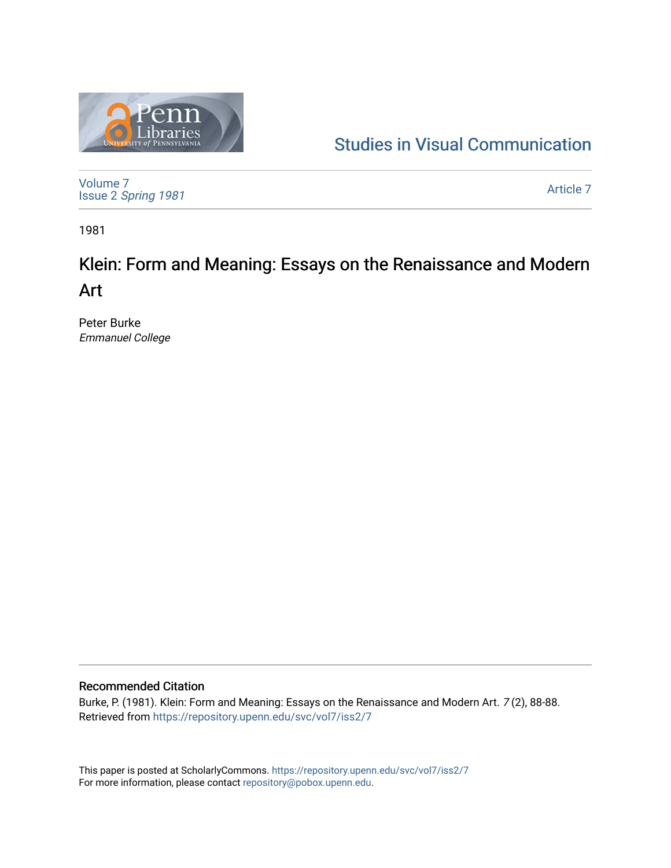

## [Studies in Visual Communication](https://repository.upenn.edu/svc)

[Volume 7](https://repository.upenn.edu/svc/vol7) Issue 2 [Spring 1981](https://repository.upenn.edu/svc/vol7/iss2) 

[Article 7](https://repository.upenn.edu/svc/vol7/iss2/7) 

1981

# Klein: Form and Meaning: Essays on the Renaissance and Modern Art

Peter Burke Emmanuel College

### Recommended Citation

Burke, P. (1981). Klein: Form and Meaning: Essays on the Renaissance and Modern Art. 7 (2), 88-88. Retrieved from <https://repository.upenn.edu/svc/vol7/iss2/7>

This paper is posted at ScholarlyCommons.<https://repository.upenn.edu/svc/vol7/iss2/7> For more information, please contact [repository@pobox.upenn.edu.](mailto:repository@pobox.upenn.edu)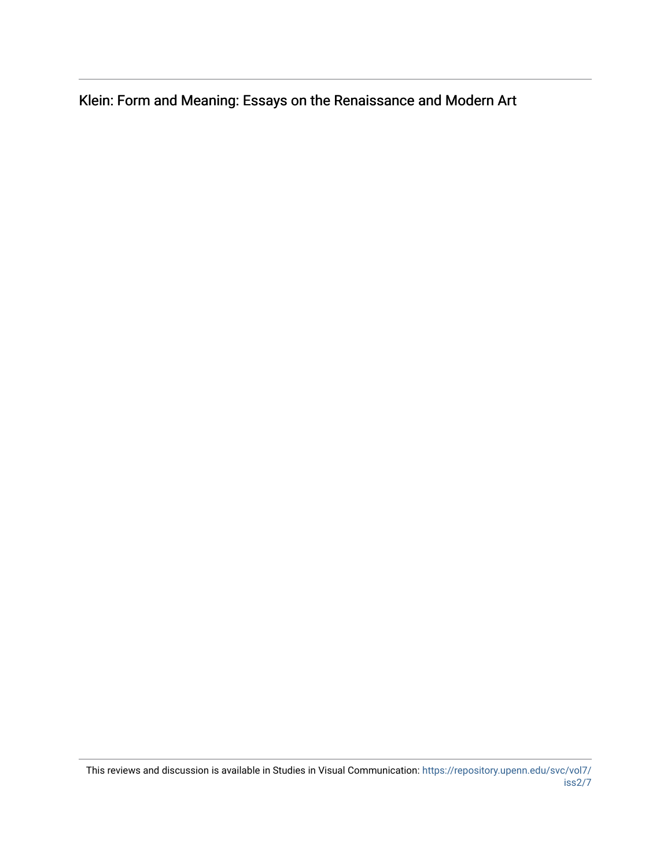Klein: Form and Meaning: Essays on the Renaissance and Modern Art

This reviews and discussion is available in Studies in Visual Communication: [https://repository.upenn.edu/svc/vol7/](https://repository.upenn.edu/svc/vol7/iss2/7) [iss2/7](https://repository.upenn.edu/svc/vol7/iss2/7)